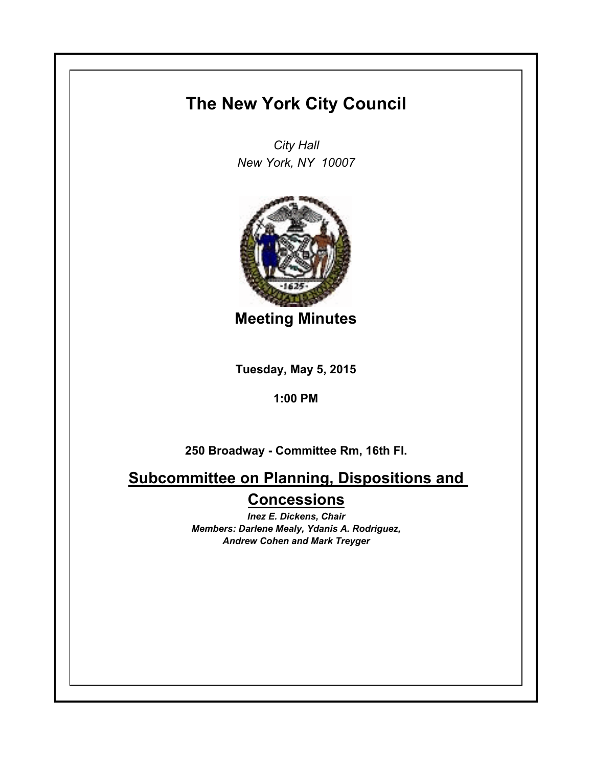## **The New York City Council**

*City Hall New York, NY 10007*



**Meeting Minutes**

**Tuesday, May 5, 2015**

**1:00 PM**

**250 Broadway - Committee Rm, 16th Fl.**

**Subcommittee on Planning, Dispositions and Concessions**

> *Inez E. Dickens, Chair Members: Darlene Mealy, Ydanis A. Rodriguez, Andrew Cohen and Mark Treyger*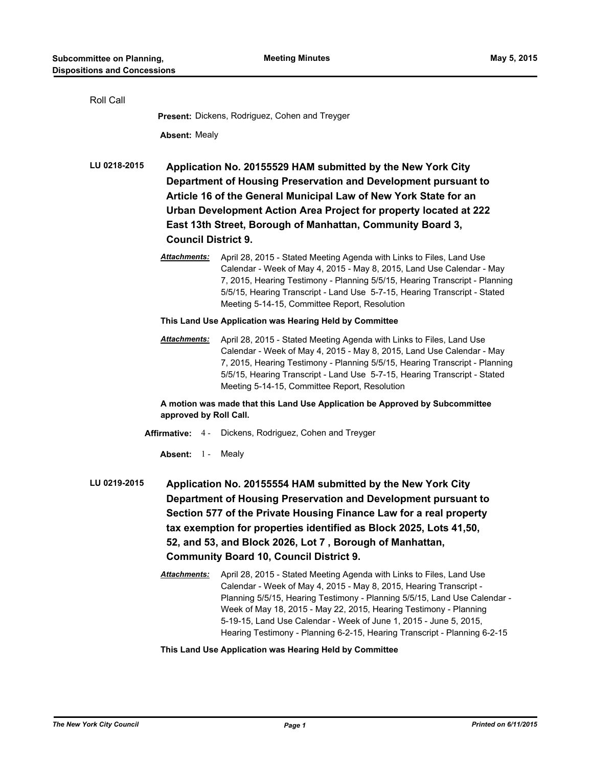| Roll Call                                                                                                                                                                                                                                                                                                                                                                                               |                                                                                                                                                                                                                                                                                                                                                                    |                                                                                                                                                                                                                                                                                                                                                                                                                                                |
|---------------------------------------------------------------------------------------------------------------------------------------------------------------------------------------------------------------------------------------------------------------------------------------------------------------------------------------------------------------------------------------------------------|--------------------------------------------------------------------------------------------------------------------------------------------------------------------------------------------------------------------------------------------------------------------------------------------------------------------------------------------------------------------|------------------------------------------------------------------------------------------------------------------------------------------------------------------------------------------------------------------------------------------------------------------------------------------------------------------------------------------------------------------------------------------------------------------------------------------------|
|                                                                                                                                                                                                                                                                                                                                                                                                         | Present: Dickens, Rodriguez, Cohen and Treyger                                                                                                                                                                                                                                                                                                                     |                                                                                                                                                                                                                                                                                                                                                                                                                                                |
|                                                                                                                                                                                                                                                                                                                                                                                                         | <b>Absent: Mealy</b>                                                                                                                                                                                                                                                                                                                                               |                                                                                                                                                                                                                                                                                                                                                                                                                                                |
| LU 0218-2015                                                                                                                                                                                                                                                                                                                                                                                            | Application No. 20155529 HAM submitted by the New York City<br>Department of Housing Preservation and Development pursuant to<br>Article 16 of the General Municipal Law of New York State for an<br>Urban Development Action Area Project for property located at 222<br>East 13th Street, Borough of Manhattan, Community Board 3,<br><b>Council District 9.</b> |                                                                                                                                                                                                                                                                                                                                                                                                                                                |
|                                                                                                                                                                                                                                                                                                                                                                                                         | <b>Attachments:</b>                                                                                                                                                                                                                                                                                                                                                | April 28, 2015 - Stated Meeting Agenda with Links to Files, Land Use<br>Calendar - Week of May 4, 2015 - May 8, 2015, Land Use Calendar - May<br>7, 2015, Hearing Testimony - Planning 5/5/15, Hearing Transcript - Planning<br>5/5/15, Hearing Transcript - Land Use 5-7-15, Hearing Transcript - Stated<br>Meeting 5-14-15, Committee Report, Resolution                                                                                     |
|                                                                                                                                                                                                                                                                                                                                                                                                         | This Land Use Application was Hearing Held by Committee                                                                                                                                                                                                                                                                                                            |                                                                                                                                                                                                                                                                                                                                                                                                                                                |
|                                                                                                                                                                                                                                                                                                                                                                                                         | <b>Attachments:</b>                                                                                                                                                                                                                                                                                                                                                | April 28, 2015 - Stated Meeting Agenda with Links to Files, Land Use<br>Calendar - Week of May 4, 2015 - May 8, 2015, Land Use Calendar - May<br>7, 2015, Hearing Testimony - Planning 5/5/15, Hearing Transcript - Planning<br>5/5/15, Hearing Transcript - Land Use 5-7-15, Hearing Transcript - Stated<br>Meeting 5-14-15, Committee Report, Resolution                                                                                     |
| A motion was made that this Land Use Application be Approved by Subcommittee<br>approved by Roll Call.                                                                                                                                                                                                                                                                                                  |                                                                                                                                                                                                                                                                                                                                                                    |                                                                                                                                                                                                                                                                                                                                                                                                                                                |
| <b>Affirmative: 4-</b><br>Dickens, Rodriguez, Cohen and Treyger                                                                                                                                                                                                                                                                                                                                         |                                                                                                                                                                                                                                                                                                                                                                    |                                                                                                                                                                                                                                                                                                                                                                                                                                                |
|                                                                                                                                                                                                                                                                                                                                                                                                         | Absent: 1 -                                                                                                                                                                                                                                                                                                                                                        | Mealy                                                                                                                                                                                                                                                                                                                                                                                                                                          |
| LU 0219-2015<br>Application No. 20155554 HAM submitted by the New York City<br>Department of Housing Preservation and Development pursuant to<br>Section 577 of the Private Housing Finance Law for a real property<br>tax exemption for properties identified as Block 2025, Lots 41,50,<br>52, and 53, and Block 2026, Lot 7, Borough of Manhattan,<br><b>Community Board 10, Council District 9.</b> |                                                                                                                                                                                                                                                                                                                                                                    |                                                                                                                                                                                                                                                                                                                                                                                                                                                |
|                                                                                                                                                                                                                                                                                                                                                                                                         | <b>Attachments:</b>                                                                                                                                                                                                                                                                                                                                                | April 28, 2015 - Stated Meeting Agenda with Links to Files, Land Use<br>Calendar - Week of May 4, 2015 - May 8, 2015, Hearing Transcript -<br>Planning 5/5/15, Hearing Testimony - Planning 5/5/15, Land Use Calendar -<br>Week of May 18, 2015 - May 22, 2015, Hearing Testimony - Planning<br>5-19-15, Land Use Calendar - Week of June 1, 2015 - June 5, 2015,<br>Hearing Testimony - Planning 6-2-15, Hearing Transcript - Planning 6-2-15 |

## **This Land Use Application was Hearing Held by Committee**